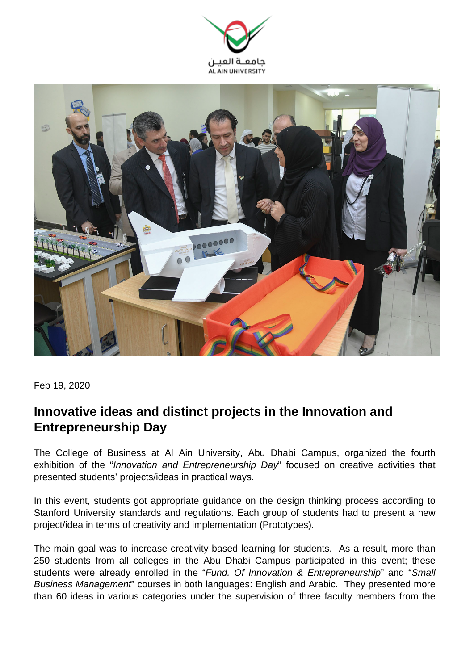



Feb 19, 2020

## **Innovative ideas and distinct projects in the Innovation and Entrepreneurship Day**

The College of Business at Al Ain University, Abu Dhabi Campus, organized the fourth exhibition of the "Innovation and Entrepreneurship Day" focused on creative activities that presented students' projects/ideas in practical ways.

In this event, students got appropriate guidance on the design thinking process according to Stanford University standards and regulations. Each group of students had to present a new project/idea in terms of creativity and implementation (Prototypes).

The main goal was to increase creativity based learning for students. As a result, more than 250 students from all colleges in the Abu Dhabi Campus participated in this event; these students were already enrolled in the "Fund. Of Innovation & Entrepreneurship" and "Small Business Management" courses in both languages: English and Arabic. They presented more than 60 ideas in various categories under the supervision of three faculty members from the